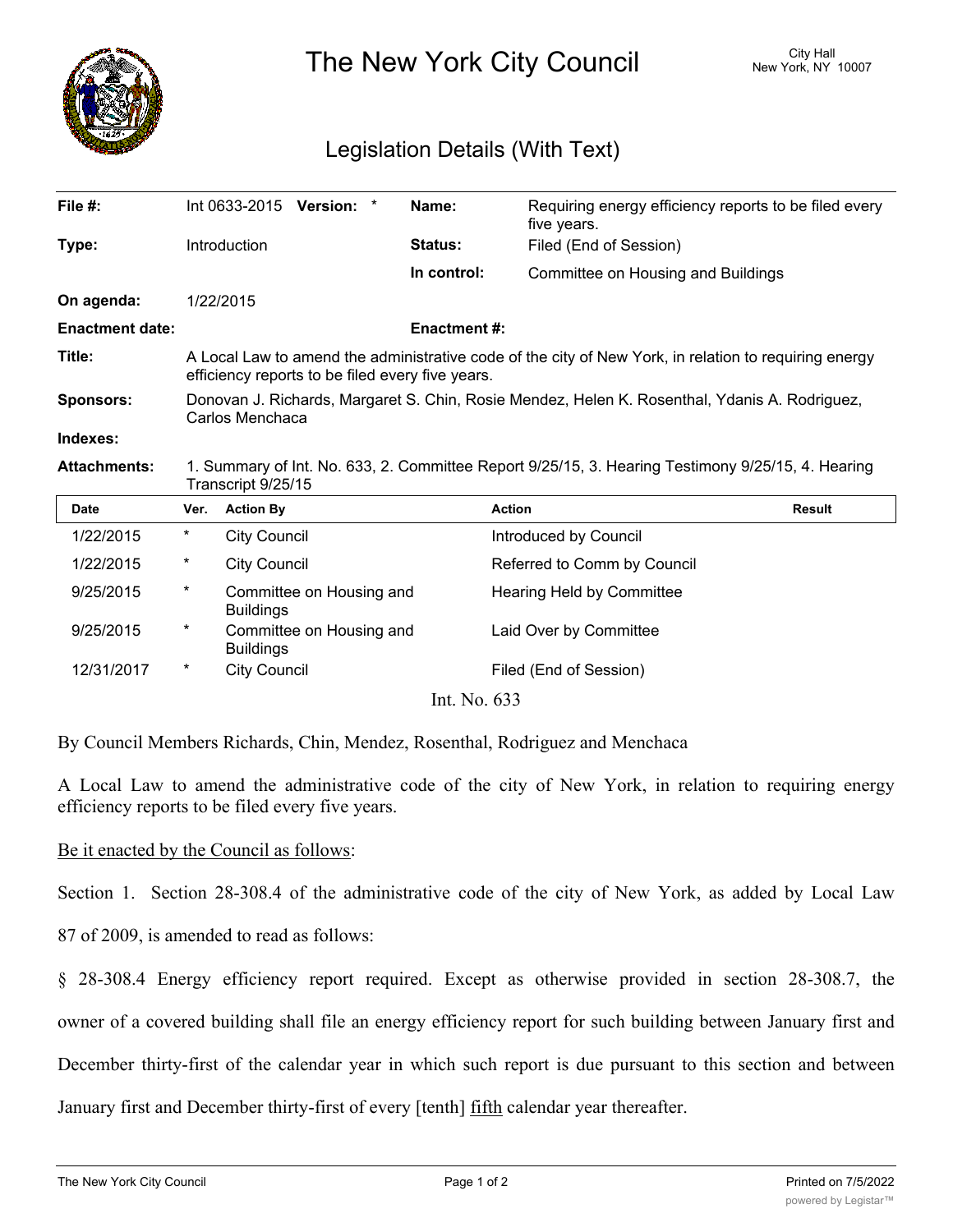

The New York City Council New York, NY 10007

## Legislation Details (With Text)

| File $#$ :             |                                                                                                                                                           |                     | Int 0633-2015 Version: * | Name:         | Requiring energy efficiency reports to be filed every<br>five years. |               |
|------------------------|-----------------------------------------------------------------------------------------------------------------------------------------------------------|---------------------|--------------------------|---------------|----------------------------------------------------------------------|---------------|
| Type:                  |                                                                                                                                                           | Introduction        |                          | Status:       | Filed (End of Session)                                               |               |
|                        |                                                                                                                                                           |                     |                          | In control:   | Committee on Housing and Buildings                                   |               |
| On agenda:             |                                                                                                                                                           | 1/22/2015           |                          |               |                                                                      |               |
| <b>Enactment date:</b> | <b>Enactment#:</b>                                                                                                                                        |                     |                          |               |                                                                      |               |
| Title:                 | A Local Law to amend the administrative code of the city of New York, in relation to requiring energy<br>efficiency reports to be filed every five years. |                     |                          |               |                                                                      |               |
| <b>Sponsors:</b>       | Donovan J. Richards, Margaret S. Chin, Rosie Mendez, Helen K. Rosenthal, Ydanis A. Rodriguez,<br>Carlos Menchaca                                          |                     |                          |               |                                                                      |               |
| Indexes:               |                                                                                                                                                           |                     |                          |               |                                                                      |               |
| <b>Attachments:</b>    | 1. Summary of Int. No. 633, 2. Committee Report 9/25/15, 3. Hearing Testimony 9/25/15, 4. Hearing<br>Transcript 9/25/15                                   |                     |                          |               |                                                                      |               |
| <b>Date</b>            | Ver.                                                                                                                                                      | <b>Action By</b>    |                          | <b>Action</b> |                                                                      | <b>Result</b> |
| 1/22/2015              | $^\ast$                                                                                                                                                   | <b>City Council</b> |                          |               | Introduced by Council                                                |               |
| 1/22/2015              | $^\star$                                                                                                                                                  | <b>City Council</b> |                          |               | Referred to Comm by Council                                          |               |
| 9/25/2015              | $^\star$                                                                                                                                                  | <b>Buildings</b>    | Committee on Housing and |               | Hearing Held by Committee                                            |               |
| 9/25/2015              | $^\star$                                                                                                                                                  | <b>Buildings</b>    | Committee on Housing and |               | Laid Over by Committee                                               |               |
| 12/31/2017             | *                                                                                                                                                         | <b>City Council</b> |                          |               | Filed (End of Session)                                               |               |

Int. No. 633

By Council Members Richards, Chin, Mendez, Rosenthal, Rodriguez and Menchaca

A Local Law to amend the administrative code of the city of New York, in relation to requiring energy efficiency reports to be filed every five years.

Be it enacted by the Council as follows:

Section 1. Section 28-308.4 of the administrative code of the city of New York, as added by Local Law

87 of 2009, is amended to read as follows:

§ 28-308.4 Energy efficiency report required. Except as otherwise provided in section 28-308.7, the owner of a covered building shall file an energy efficiency report for such building between January first and December thirty-first of the calendar year in which such report is due pursuant to this section and between January first and December thirty-first of every [tenth] fifth calendar year thereafter.